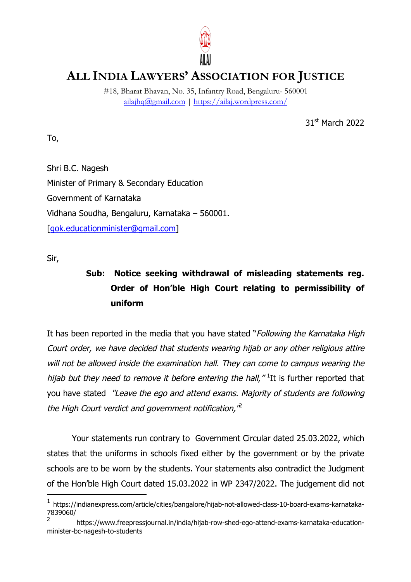

## **ALL INDIA LAWYERS' ASSOCIATION FOR JUSTICE**

#18, Bharat Bhavan, No. 35, Infantry Road, Bengaluru- 560001 ailajhq@gmail.com | https://ailaj.wordpress.com/

31st March 2022

Shri B.C. Nagesh Minister of Primary & Secondary Education Government of Karnataka Vidhana Soudha, Bengaluru, Karnataka – 560001. [gok.educationminister@gmail.com]

Sir,

 $\overline{a}$ 

To,

## **Sub: Notice seeking withdrawal of misleading statements reg. Order of Hon'ble High Court relating to permissibility of uniform**

It has been reported in the media that you have stated "Following the Karnataka High Court order, we have decided that students wearing hijab or any other religious attire will not be allowed inside the examination hall. They can come to campus wearing the hijab but they need to remove it before entering the hall,"  $^1$ It is further reported that you have stated "Leave the ego and attend exams. Majority of students are following the High Court verdict and government notification, $\mathbf{r}^2$ 

Your statements run contrary to Government Circular dated 25.03.2022, which states that the uniforms in schools fixed either by the government or by the private schools are to be worn by the students. Your statements also contradict the Judgment of the Hon'ble High Court dated 15.03.2022 in WP 2347/2022. The judgement did not

<sup>1</sup> https://indianexpress.com/article/cities/bangalore/hijab-not-allowed-class-10-board-exams-karnataka-7839060/

<sup>2</sup> https://www.freepressjournal.in/india/hijab-row-shed-ego-attend-exams-karnataka-educationminister-bc-nagesh-to-students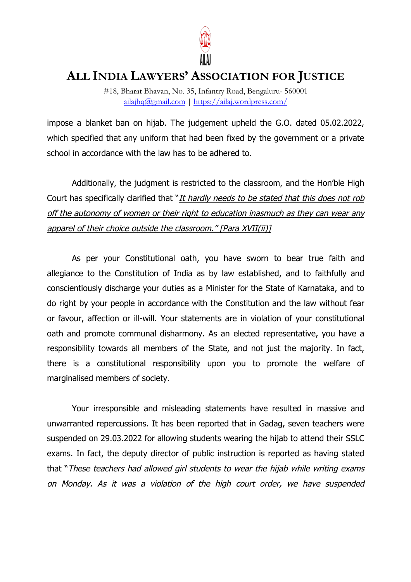

## **ALL INDIA LAWYERS' ASSOCIATION FOR JUSTICE**

#18, Bharat Bhavan, No. 35, Infantry Road, Bengaluru- 560001 ailajhq@gmail.com | https://ailaj.wordpress.com/

impose a blanket ban on hijab. The judgement upheld the G.O. dated 05.02.2022, which specified that any uniform that had been fixed by the government or a private school in accordance with the law has to be adhered to.

Additionally, the judgment is restricted to the classroom, and the Hon'ble High Court has specifically clarified that "It hardly needs to be stated that this does not rob off the autonomy of women or their right to education inasmuch as they can wear any apparel of their choice outside the classroom." [Para XVII(ii)]

As per your Constitutional oath, you have sworn to bear true faith and allegiance to the Constitution of India as by law established, and to faithfully and conscientiously discharge your duties as a Minister for the State of Karnataka, and to do right by your people in accordance with the Constitution and the law without fear or favour, affection or ill-will. Your statements are in violation of your constitutional oath and promote communal disharmony. As an elected representative, you have a responsibility towards all members of the State, and not just the majority. In fact, there is a constitutional responsibility upon you to promote the welfare of marginalised members of society.

Your irresponsible and misleading statements have resulted in massive and unwarranted repercussions. It has been reported that in Gadag, seven teachers were suspended on 29.03.2022 for allowing students wearing the hijab to attend their SSLC exams. In fact, the deputy director of public instruction is reported as having stated that "These teachers had allowed girl students to wear the hijab while writing exams on Monday. As it was a violation of the high court order, we have suspended